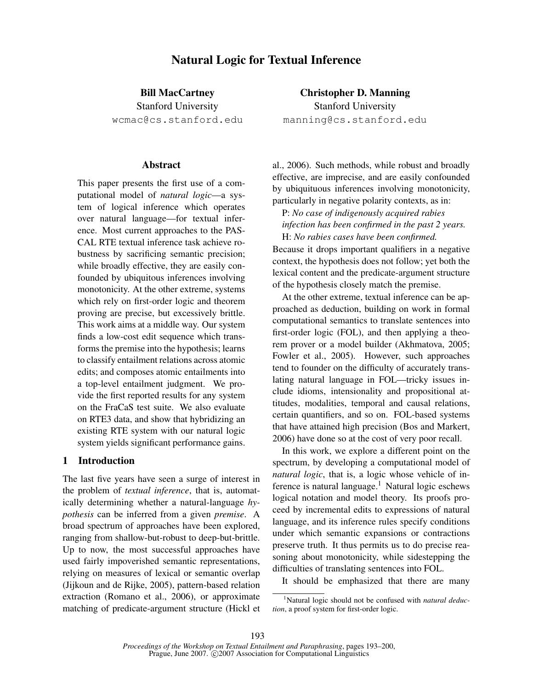# Natural Logic for Textual Inference

Bill MacCartney

Stanford University wcmac@cs.stanford.edu

#### Abstract

This paper presents the first use of a computational model of *natural logic*—a system of logical inference which operates over natural language—for textual inference. Most current approaches to the PAS-CAL RTE textual inference task achieve robustness by sacrificing semantic precision; while broadly effective, they are easily confounded by ubiquitous inferences involving monotonicity. At the other extreme, systems which rely on first-order logic and theorem proving are precise, but excessively brittle. This work aims at a middle way. Our system finds a low-cost edit sequence which transforms the premise into the hypothesis; learns to classify entailment relations across atomic edits; and composes atomic entailments into a top-level entailment judgment. We provide the first reported results for any system on the FraCaS test suite. We also evaluate on RTE3 data, and show that hybridizing an existing RTE system with our natural logic system yields significant performance gains.

# 1 Introduction

The last five years have seen a surge of interest in the problem of *textual inference*, that is, automatically determining whether a natural-language *hypothesis* can be inferred from a given *premise*. A broad spectrum of approaches have been explored, ranging from shallow-but-robust to deep-but-brittle. Up to now, the most successful approaches have used fairly impoverished semantic representations, relying on measures of lexical or semantic overlap (Jijkoun and de Rijke, 2005), pattern-based relation extraction (Romano et al., 2006), or approximate matching of predicate-argument structure (Hickl et

Christopher D. Manning Stanford University manning@cs.stanford.edu

al., 2006). Such methods, while robust and broadly effective, are imprecise, and are easily confounded by ubiquituous inferences involving monotonicity, particularly in negative polarity contexts, as in:

P: *No case of indigenously acquired rabies infection has been confirmed in the past 2 years.* H: *No rabies cases have been confirmed.*

Because it drops important qualifiers in a negative context, the hypothesis does not follow; yet both the lexical content and the predicate-argument structure of the hypothesis closely match the premise.

At the other extreme, textual inference can be approached as deduction, building on work in formal computational semantics to translate sentences into first-order logic (FOL), and then applying a theorem prover or a model builder (Akhmatova, 2005; Fowler et al., 2005). However, such approaches tend to founder on the difficulty of accurately translating natural language in FOL—tricky issues include idioms, intensionality and propositional attitudes, modalities, temporal and causal relations, certain quantifiers, and so on. FOL-based systems that have attained high precision (Bos and Markert, 2006) have done so at the cost of very poor recall.

In this work, we explore a different point on the spectrum, by developing a computational model of *natural logic*, that is, a logic whose vehicle of inference is natural language.<sup>1</sup> Natural logic eschews logical notation and model theory. Its proofs proceed by incremental edits to expressions of natural language, and its inference rules specify conditions under which semantic expansions or contractions preserve truth. It thus permits us to do precise reasoning about monotonicity, while sidestepping the difficulties of translating sentences into FOL.

It should be emphasized that there are many

<sup>1</sup>Natural logic should not be confused with *natural deduction*, a proof system for first-order logic.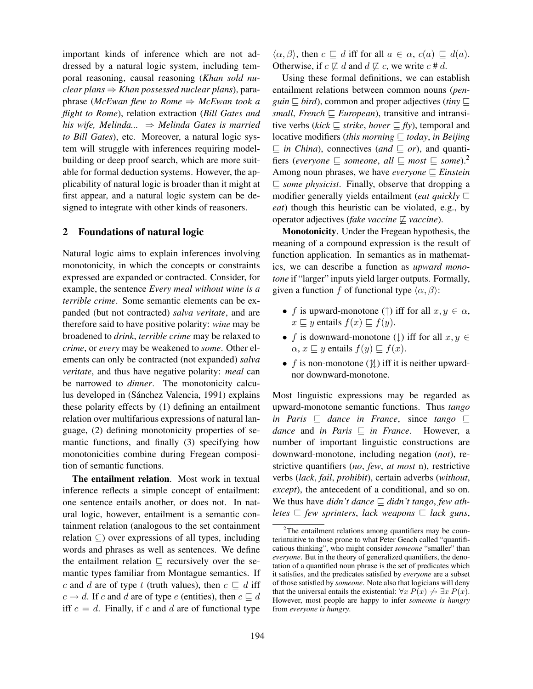important kinds of inference which are not addressed by a natural logic system, including temporal reasoning, causal reasoning (*Khan sold nuclear plans* ⇒ *Khan possessed nuclear plans*), paraphrase (*McEwan flew to Rome* ⇒ *McEwan took a flight to Rome*), relation extraction (*Bill Gates and his wife, Melinda...* ⇒ *Melinda Gates is married to Bill Gates*), etc. Moreover, a natural logic system will struggle with inferences requiring modelbuilding or deep proof search, which are more suitable for formal deduction systems. However, the applicability of natural logic is broader than it might at first appear, and a natural logic system can be designed to integrate with other kinds of reasoners.

#### 2 Foundations of natural logic

Natural logic aims to explain inferences involving monotonicity, in which the concepts or constraints expressed are expanded or contracted. Consider, for example, the sentence *Every meal without wine is a terrible crime*. Some semantic elements can be expanded (but not contracted) *salva veritate*, and are therefore said to have positive polarity: *wine* may be broadened to *drink*, *terrible crime* may be relaxed to *crime*, or *every* may be weakened to *some*. Other elements can only be contracted (not expanded) *salva veritate*, and thus have negative polarity: *meal* can be narrowed to *dinner*. The monotonicity calculus developed in (Sánchez Valencia, 1991) explains these polarity effects by (1) defining an entailment relation over multifarious expressions of natural language, (2) defining monotonicity properties of semantic functions, and finally (3) specifying how monotonicities combine during Fregean composition of semantic functions.

The entailment relation. Most work in textual inference reflects a simple concept of entailment: one sentence entails another, or does not. In natural logic, however, entailment is a semantic containment relation (analogous to the set containment relation ⊆) over expressions of all types, including words and phrases as well as sentences. We define the entailment relation  $\sqsubseteq$  recursively over the semantic types familiar from Montague semantics. If c and d are of type t (truth values), then  $c \sqsubseteq d$  iff  $c \rightarrow d$ . If c and d are of type e (entities), then  $c \sqsubseteq d$ iff  $c = d$ . Finally, if c and d are of functional type

 $\langle \alpha, \beta \rangle$ , then  $c \subseteq d$  iff for all  $a \in \alpha$ ,  $c(a) \subseteq d(a)$ . Otherwise, if  $c \not\sqsubseteq d$  and  $d \not\sqsubseteq c$ , we write  $c \neq d$ .

Using these formal definitions, we can establish entailment relations between common nouns (*penguin*  $\subseteq$  *bird*), common and proper adjectives (*tiny*  $\sqsubset$ *small, French*  $\sqsubseteq$  *European*), transitive and intransitive verbs (*kick*  $\sqsubseteq$  *strike*, *hover*  $\sqsubseteq$  *fly*), temporal and locative modifiers (*this morning*  $\sqsubseteq$  *today*, *in Beijing*  $\Box$  *in China*), connectives (*and*  $\Box$  *or*), and quantifiers (*everyone*  $\subseteq$  *someone*, *all*  $\subseteq$  *most*  $\subseteq$  *some*).<sup>2</sup> Among noun phrases, we have *everyone*  $\subseteq$  *Einstein*  $\subseteq$  *some physicist*. Finally, observe that dropping a modifier generally yields entailment (*eat quickly*  $\sqsubseteq$ *eat*) though this heuristic can be violated, e.g., by operator adjectives (*fake vaccine*  $\not\sqsubseteq$  *vaccine*).

Monotonicity. Under the Fregean hypothesis, the meaning of a compound expression is the result of function application. In semantics as in mathematics, we can describe a function as *upward monotone* if "larger" inputs yield larger outputs. Formally, given a function f of functional type  $\langle \alpha, \beta \rangle$ :

- f is upward-monotone ( $\uparrow$ ) iff for all  $x, y \in \alpha$ ,  $x \sqsubseteq y$  entails  $f(x) \sqsubseteq f(y)$ .
- f is downward-monotone ( $\downarrow$ ) iff for all  $x, y \in$  $\alpha$ ,  $x \sqsubseteq y$  entails  $f(y) \sqsubseteq f(x)$ .
- f is non-monotone  $(\mathcal{U})$  iff it is neither upwardnor downward-monotone.

Most linguistic expressions may be regarded as upward-monotone semantic functions. Thus *tango in Paris*  $\subseteq$  *dance in France*, since *tango*  $\subseteq$ *dance* and *in Paris*  $\subseteq$  *in France*. However, a number of important linguistic constructions are downward-monotone, including negation (*not*), restrictive quantifiers (*no*, *few*, *at most* n), restrictive verbs (*lack*, *fail*, *prohibit*), certain adverbs (*without*, *except*), the antecedent of a conditional, and so on. We thus have *didn't dance*  $\sqsubseteq$  *didn't tango, few athletes*  $\subseteq$  *few sprinters, lack weapons*  $\subseteq$  *lack guns,* 

 $2$ The entailment relations among quantifiers may be counterintuitive to those prone to what Peter Geach called "quantificatious thinking", who might consider *someone* "smaller" than *everyone*. But in the theory of generalized quantifiers, the denotation of a quantified noun phrase is the set of predicates which it satisfies, and the predicates satisfied by *everyone* are a subset of those satisfied by *someone*. Note also that logicians will deny that the universal entails the existential:  $\forall x P(x) \rightarrow \exists x P(x)$ . However, most people are happy to infer *someone is hungry* from *everyone is hungry*.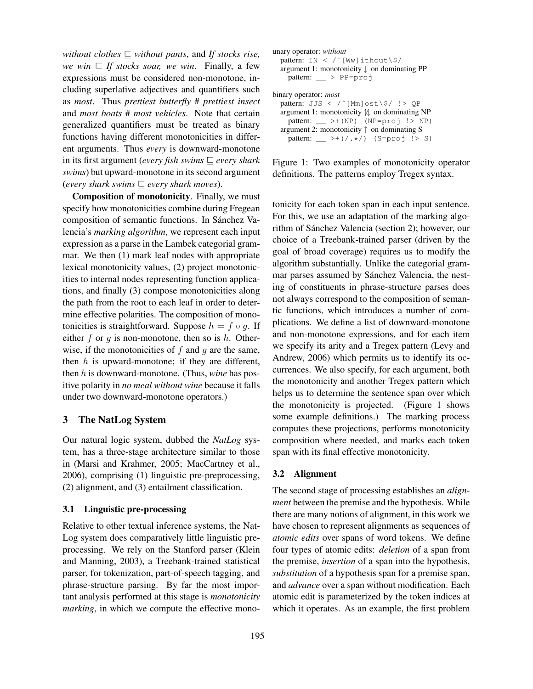*without clothes*  $\Box$  *without pants, and If stocks rise, we win*  $\subseteq$  *If stocks soar, we win*. Finally, a few expressions must be considered non-monotone, including superlative adjectives and quantifiers such as *most*. Thus *prettiest butterfly* # *prettiest insect* and *most boats* # *most vehicles*. Note that certain generalized quantifiers must be treated as binary functions having different monotonicities in different arguments. Thus *every* is downward-monotone in its first argument (*every fish swims*  $\subseteq$  *every shark swims*) but upward-monotone in its second argument (*every shark swims*  $\subseteq$  *every shark moves*).

Composition of monotonicity. Finally, we must specify how monotonicities combine during Fregean composition of semantic functions. In Sánchez Valencia's *marking algorithm*, we represent each input expression as a parse in the Lambek categorial grammar. We then (1) mark leaf nodes with appropriate lexical monotonicity values, (2) project monotonicities to internal nodes representing function applications, and finally (3) compose monotonicities along the path from the root to each leaf in order to determine effective polarities. The composition of monotonicities is straightforward. Suppose  $h = f \circ q$ . If either f or g is non-monotone, then so is h. Otherwise, if the monotonicities of  $f$  and  $g$  are the same, then  $h$  is upward-monotone; if they are different, then h is downward-monotone. (Thus, *wine* has positive polarity in *no meal without wine* because it falls under two downward-monotone operators.)

# 3 The NatLog System

Our natural logic system, dubbed the *NatLog* system, has a three-stage architecture similar to those in (Marsi and Krahmer, 2005; MacCartney et al., 2006), comprising (1) linguistic pre-preprocessing, (2) alignment, and (3) entailment classification.

#### 3.1 Linguistic pre-processing

Relative to other textual inference systems, the Nat-Log system does comparatively little linguistic preprocessing. We rely on the Stanford parser (Klein and Manning, 2003), a Treebank-trained statistical parser, for tokenization, part-of-speech tagging, and phrase-structure parsing. By far the most important analysis performed at this stage is *monotonicity marking*, in which we compute the effective mono-

| unary operator: without<br>pattern: IN < /^[Ww]ithout\\$/<br>argument 1: monotonicity $\downarrow$ on dominating PP<br>pattern: $\_\_$ > PP=proj |
|--------------------------------------------------------------------------------------------------------------------------------------------------|
| binary operator: <i>most</i>                                                                                                                     |
| pattern: JJS < /^[Mm]ost\\$/ !> QP<br>argument 1: monotonicity $\mathcal{U}$ on dominating NP                                                    |
| pattern: $\_\$ > + (NP) (NP=proj !> NP)<br>argument 2: monotonicity $\uparrow$ on dominating S                                                   |
| pattern: $\_\rightarrow$ >+(/.*/) (S=proj !> S)                                                                                                  |

Figure 1: Two examples of monotonicity operator definitions. The patterns employ Tregex syntax.

tonicity for each token span in each input sentence. For this, we use an adaptation of the marking algorithm of Sánchez Valencia (section 2); however, our choice of a Treebank-trained parser (driven by the goal of broad coverage) requires us to modify the algorithm substantially. Unlike the categorial grammar parses assumed by Sánchez Valencia, the nesting of constituents in phrase-structure parses does not always correspond to the composition of semantic functions, which introduces a number of complications. We define a list of downward-monotone and non-monotone expressions, and for each item we specify its arity and a Tregex pattern (Levy and Andrew, 2006) which permits us to identify its occurrences. We also specify, for each argument, both the monotonicity and another Tregex pattern which helps us to determine the sentence span over which the monotonicity is projected. (Figure 1 shows some example definitions.) The marking process computes these projections, performs monotonicity composition where needed, and marks each token span with its final effective monotonicity.

#### 3.2 Alignment

The second stage of processing establishes an *alignment* between the premise and the hypothesis. While there are many notions of alignment, in this work we have chosen to represent alignments as sequences of *atomic edits* over spans of word tokens. We define four types of atomic edits: *deletion* of a span from the premise, *insertion* of a span into the hypothesis, *substitution* of a hypothesis span for a premise span, and *advance* over a span without modification. Each atomic edit is parameterized by the token indices at which it operates. As an example, the first problem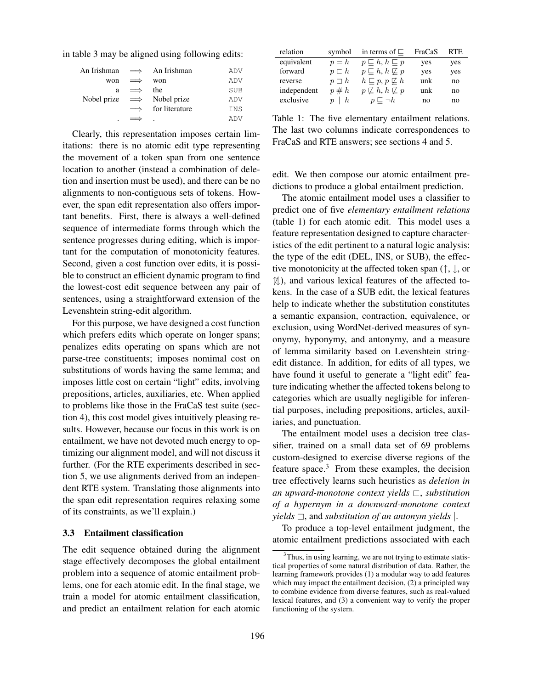in table 3 may be aligned using following edits:

| An Irishman $\implies$ An Irishman |            |                | ADV        |
|------------------------------------|------------|----------------|------------|
| won                                | $\implies$ | won            | ADV        |
| a                                  | $\implies$ | the            | <b>SUB</b> |
| Nobel prize $\implies$ Nobel prize |            |                | ADV        |
|                                    | $\implies$ | for literature | INS        |
| ٠                                  |            |                | ADV        |

Clearly, this representation imposes certain limitations: there is no atomic edit type representing the movement of a token span from one sentence location to another (instead a combination of deletion and insertion must be used), and there can be no alignments to non-contiguous sets of tokens. However, the span edit representation also offers important benefits. First, there is always a well-defined sequence of intermediate forms through which the sentence progresses during editing, which is important for the computation of monotonicity features. Second, given a cost function over edits, it is possible to construct an efficient dynamic program to find the lowest-cost edit sequence between any pair of sentences, using a straightforward extension of the Levenshtein string-edit algorithm.

For this purpose, we have designed a cost function which prefers edits which operate on longer spans; penalizes edits operating on spans which are not parse-tree constituents; imposes nomimal cost on substitutions of words having the same lemma; and imposes little cost on certain "light" edits, involving prepositions, articles, auxiliaries, etc. When applied to problems like those in the FraCaS test suite (section 4), this cost model gives intuitively pleasing results. However, because our focus in this work is on entailment, we have not devoted much energy to optimizing our alignment model, and will not discuss it further. (For the RTE experiments described in section 5, we use alignments derived from an independent RTE system. Translating those alignments into the span edit representation requires relaxing some of its constraints, as we'll explain.)

#### 3.3 Entailment classification

The edit sequence obtained during the alignment stage effectively decomposes the global entailment problem into a sequence of atomic entailment problems, one for each atomic edit. In the final stage, we train a model for atomic entailment classification, and predict an entailment relation for each atomic

| relation    | symbol          | in terms of $\Box$                         | FraCaS | RTE. |
|-------------|-----------------|--------------------------------------------|--------|------|
| equivalent  | $p = h$         | $p\sqsubset h, h\sqsubset p$               | yes    | yes  |
| forward     | $p \sqsubset h$ | $p\sqsubset h, h\not\sqsubset p$           | yes    | yes  |
| reverse     | $p \neg h$      | $h\sqsubset p, p\not\sqsubset h$           | unk    | no   |
| independent | $p \# h$        | $p \not\sqsubseteq h, h \not\sqsubseteq p$ | unk    | no   |
| exclusive   | $p \,   \, h$   | $p \sqsubset \neg h$                       | no     | no   |

Table 1: The five elementary entailment relations. The last two columns indicate correspondences to FraCaS and RTE answers; see sections 4 and 5.

edit. We then compose our atomic entailment predictions to produce a global entailment prediction.

The atomic entailment model uses a classifier to predict one of five *elementary entailment relations* (table 1) for each atomic edit. This model uses a feature representation designed to capture characteristics of the edit pertinent to a natural logic analysis: the type of the edit (DEL, INS, or SUB), the effective monotonicity at the affected token span (↑, ↓, or 6↑↓), and various lexical features of the affected tokens. In the case of a SUB edit, the lexical features help to indicate whether the substitution constitutes a semantic expansion, contraction, equivalence, or exclusion, using WordNet-derived measures of synonymy, hyponymy, and antonymy, and a measure of lemma similarity based on Levenshtein stringedit distance. In addition, for edits of all types, we have found it useful to generate a "light edit" feature indicating whether the affected tokens belong to categories which are usually negligible for inferential purposes, including prepositions, articles, auxiliaries, and punctuation.

The entailment model uses a decision tree classifier, trained on a small data set of 69 problems custom-designed to exercise diverse regions of the feature space.<sup>3</sup> From these examples, the decision tree effectively learns such heuristics as *deletion in an upward-monotone context yields* @, *substitution of a hypernym in a downward-monotone context yields*  $\Box$ , and *substitution of an antonym yields*  $\vert$ .

To produce a top-level entailment judgment, the atomic entailment predictions associated with each

<sup>&</sup>lt;sup>3</sup>Thus, in using learning, we are not trying to estimate statistical properties of some natural distribution of data. Rather, the learning framework provides (1) a modular way to add features which may impact the entailment decision, (2) a principled way to combine evidence from diverse features, such as real-valued lexical features, and (3) a convenient way to verify the proper functioning of the system.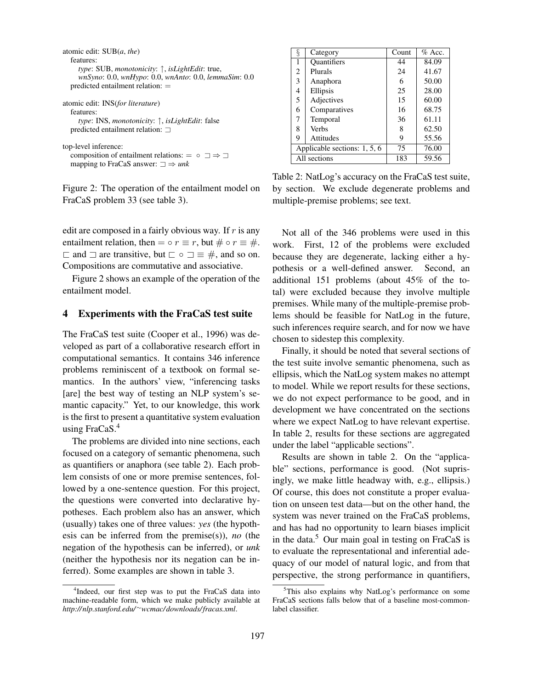| atomic edit: SUB( <i>a</i> , <i>the</i> )<br>features:<br><i>type</i> : SUB, <i>monotonicity</i> : $\uparrow$ , <i>isLightEdit</i> : true,<br>wnSyno: 0.0, wnHypo: 0.0, wnAnto: 0.0, lemmaSim: 0.0<br>predicted entailment relation: $=$ |
|------------------------------------------------------------------------------------------------------------------------------------------------------------------------------------------------------------------------------------------|
| atomic edit: INS(for literature)<br>features:<br><i>type</i> : INS, <i>monotonicity</i> : $\uparrow$ , <i>isLightEdit</i> : false<br>predicted entailment relation: $\Box$                                                               |
| top-level inference:<br>composition of entailment relations: $= \circ \exists \Rightarrow \exists$<br>mapping to FraCaS answer: $\Box \Rightarrow$ unk                                                                                   |

Figure 2: The operation of the entailment model on FraCaS problem 33 (see table 3).

edit are composed in a fairly obvious way. If  $r$  is any entailment relation, then =  $\circ$  r = r, but  $\# \circ$  r =  $\#$ .  $\Box$  and  $\Box$  are transitive, but  $\Box \circ \Box \equiv \#$ , and so on. Compositions are commutative and associative.

Figure 2 shows an example of the operation of the entailment model.

#### 4 Experiments with the FraCaS test suite

The FraCaS test suite (Cooper et al., 1996) was developed as part of a collaborative research effort in computational semantics. It contains 346 inference problems reminiscent of a textbook on formal semantics. In the authors' view, "inferencing tasks [are] the best way of testing an NLP system's semantic capacity." Yet, to our knowledge, this work is the first to present a quantitative system evaluation using FraCaS.<sup>4</sup>

The problems are divided into nine sections, each focused on a category of semantic phenomena, such as quantifiers or anaphora (see table 2). Each problem consists of one or more premise sentences, followed by a one-sentence question. For this project, the questions were converted into declarative hypotheses. Each problem also has an answer, which (usually) takes one of three values: *yes* (the hypothesis can be inferred from the premise(s)), *no* (the negation of the hypothesis can be inferred), or *unk* (neither the hypothesis nor its negation can be inferred). Some examples are shown in table 3.

| ş                            | Category           | Count | $%$ Acc. |
|------------------------------|--------------------|-------|----------|
| 1                            | <b>Quantifiers</b> | 44    | 84.09    |
| 2                            | Plurals            | 24    | 41.67    |
| 3                            | Anaphora           | 6     | 50.00    |
| 4                            | Ellipsis           | 25    | 28.00    |
| 5                            | Adjectives         | 15    | 60.00    |
| 6                            | Comparatives       | 16    | 68.75    |
| 7                            | Temporal           | 36    | 61.11    |
| 8                            | <b>Verbs</b>       | 8     | 62.50    |
| 9                            | Attitudes          | 9     | 55.56    |
| Applicable sections: 1, 5, 6 |                    | 75    | 76.00    |
| All sections                 |                    | 183   | 59.56    |

Table 2: NatLog's accuracy on the FraCaS test suite, by section. We exclude degenerate problems and multiple-premise problems; see text.

Not all of the 346 problems were used in this work. First, 12 of the problems were excluded because they are degenerate, lacking either a hypothesis or a well-defined answer. Second, an additional 151 problems (about 45% of the total) were excluded because they involve multiple premises. While many of the multiple-premise problems should be feasible for NatLog in the future, such inferences require search, and for now we have chosen to sidestep this complexity.

Finally, it should be noted that several sections of the test suite involve semantic phenomena, such as ellipsis, which the NatLog system makes no attempt to model. While we report results for these sections, we do not expect performance to be good, and in development we have concentrated on the sections where we expect NatLog to have relevant expertise. In table 2, results for these sections are aggregated under the label "applicable sections".

Results are shown in table 2. On the "applicable" sections, performance is good. (Not suprisingly, we make little headway with, e.g., ellipsis.) Of course, this does not constitute a proper evaluation on unseen test data—but on the other hand, the system was never trained on the FraCaS problems, and has had no opportunity to learn biases implicit in the data.<sup>5</sup> Our main goal in testing on FraCaS is to evaluate the representational and inferential adequacy of our model of natural logic, and from that perspective, the strong performance in quantifiers,

<sup>&</sup>lt;sup>4</sup>Indeed, our first step was to put the FraCaS data into machine-readable form, which we make publicly available at *http:// nlp.stanford.edu/* <sup>∼</sup>*wcmac/ downloads/fracas.xml*.

<sup>&</sup>lt;sup>5</sup>This also explains why NatLog's performance on some FraCaS sections falls below that of a baseline most-commonlabel classifier.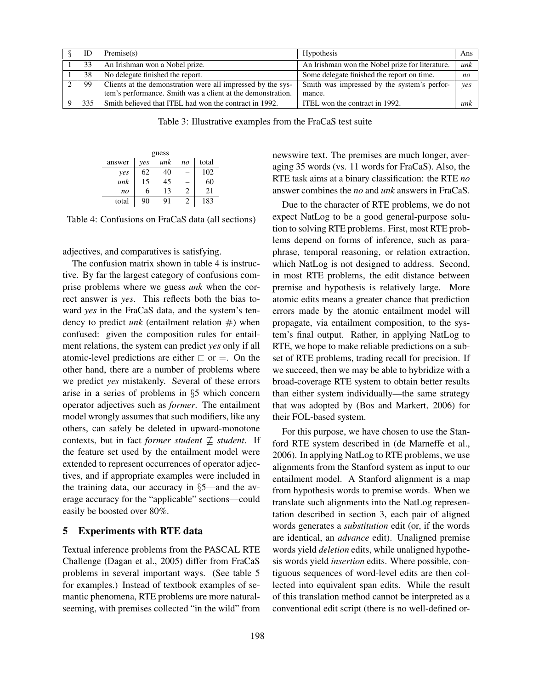| ID  | Premise(s)                                                  | Hypothesis                                      | Ans            |
|-----|-------------------------------------------------------------|-------------------------------------------------|----------------|
| 33  | An Irishman won a Nobel prize.                              | An Irishman won the Nobel prize for literature. | unk            |
| 38  | No delegate finished the report.                            | Some delegate finished the report on time.      | n <sub>O</sub> |
| 99  | Clients at the demonstration were all impressed by the sys- | Smith was impressed by the system's perfor-     | yes            |
|     | tem's performance. Smith was a client at the demonstration. | mance.                                          |                |
| 335 | Smith believed that ITEL had won the contract in 1992.      | ITEL won the contract in 1992.                  | unk            |

Table 3: Illustrative examples from the FraCaS test suite

| guess          |     |     |                |       |  |  |
|----------------|-----|-----|----------------|-------|--|--|
| answer         | ves | unk | n <sub>O</sub> | total |  |  |
| yes            | 62  | 40  |                | 102   |  |  |
| unk            | 15  | 45  |                | 60    |  |  |
| n <sub>O</sub> | 6   | 13  | 2              | 21    |  |  |
| total          | 90  | 91  | 2              | 183   |  |  |

Table 4: Confusions on FraCaS data (all sections)

adjectives, and comparatives is satisfying.

The confusion matrix shown in table 4 is instructive. By far the largest category of confusions comprise problems where we guess *unk* when the correct answer is *yes*. This reflects both the bias toward *yes* in the FraCaS data, and the system's tendency to predict *unk* (entailment relation #) when confused: given the composition rules for entailment relations, the system can predict *yes* only if all atomic-level predictions are either  $\Box$  or  $=$ . On the other hand, there are a number of problems where we predict *yes* mistakenly. Several of these errors arise in a series of problems in §5 which concern operator adjectives such as *former*. The entailment model wrongly assumes that such modifiers, like any others, can safely be deleted in upward-monotone contexts, but in fact *former student*  $\not\sqsubseteq$  *student*. If the feature set used by the entailment model were extended to represent occurrences of operator adjectives, and if appropriate examples were included in the training data, our accuracy in §5—and the average accuracy for the "applicable" sections—could easily be boosted over 80%.

# 5 Experiments with RTE data

Textual inference problems from the PASCAL RTE Challenge (Dagan et al., 2005) differ from FraCaS problems in several important ways. (See table 5 for examples.) Instead of textbook examples of semantic phenomena, RTE problems are more naturalseeming, with premises collected "in the wild" from newswire text. The premises are much longer, averaging 35 words (vs. 11 words for FraCaS). Also, the RTE task aims at a binary classification: the RTE *no* answer combines the *no* and *unk* answers in FraCaS.

Due to the character of RTE problems, we do not expect NatLog to be a good general-purpose solution to solving RTE problems. First, most RTE problems depend on forms of inference, such as paraphrase, temporal reasoning, or relation extraction, which NatLog is not designed to address. Second, in most RTE problems, the edit distance between premise and hypothesis is relatively large. More atomic edits means a greater chance that prediction errors made by the atomic entailment model will propagate, via entailment composition, to the system's final output. Rather, in applying NatLog to RTE, we hope to make reliable predictions on a subset of RTE problems, trading recall for precision. If we succeed, then we may be able to hybridize with a broad-coverage RTE system to obtain better results than either system individually—the same strategy that was adopted by (Bos and Markert, 2006) for their FOL-based system.

For this purpose, we have chosen to use the Stanford RTE system described in (de Marneffe et al., 2006). In applying NatLog to RTE problems, we use alignments from the Stanford system as input to our entailment model. A Stanford alignment is a map from hypothesis words to premise words. When we translate such alignments into the NatLog representation described in section 3, each pair of aligned words generates a *substitution* edit (or, if the words are identical, an *advance* edit). Unaligned premise words yield *deletion* edits, while unaligned hypothesis words yield *insertion* edits. Where possible, contiguous sequences of word-level edits are then collected into equivalent span edits. While the result of this translation method cannot be interpreted as a conventional edit script (there is no well-defined or-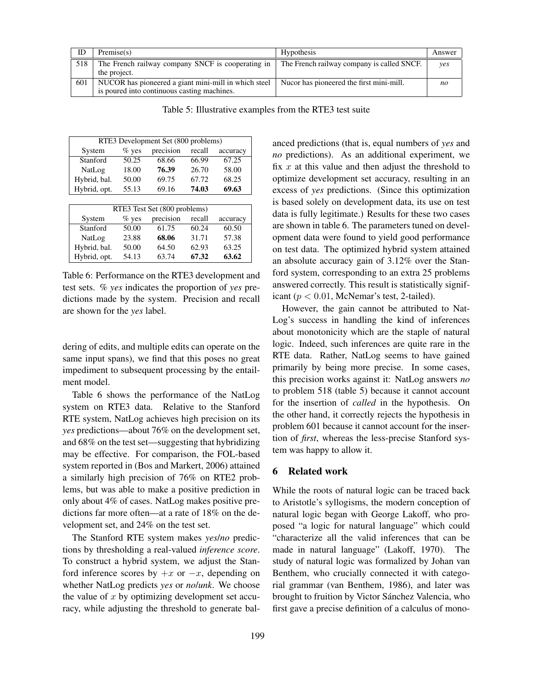| ID  | Premise(s)                                                                                          | Hypothesis                                 | Answer |
|-----|-----------------------------------------------------------------------------------------------------|--------------------------------------------|--------|
| 518 | The French railway company SNCF is cooperating in<br>the project.                                   | The French railway company is called SNCF. | ves    |
| 601 | NUCOR has pioneered a giant mini-mill in which steel<br>is poured into continuous casting machines. | Nucor has pioneered the first mini-mill.   | no     |

Table 5: Illustrative examples from the RTE3 test suite

| RTE3 Development Set (800 problems) |         |           |        |          |  |  |
|-------------------------------------|---------|-----------|--------|----------|--|--|
| System                              | $%$ yes | precision | recall | accuracy |  |  |
| Stanford                            | 50.25   | 68.66     | 66.99  | 67.25    |  |  |
| NatLog                              | 18.00   | 76.39     | 26.70  | 58.00    |  |  |
| Hybrid, bal.                        | 50.00   | 69.75     | 67.72  | 68.25    |  |  |
| Hybrid, opt.                        | 55.13   | 69.16     | 74.03  | 69.63    |  |  |
|                                     |         |           |        |          |  |  |
| RTE3 Test Set (800 problems)        |         |           |        |          |  |  |

| NIES TEST SEL LOUV DIUDIEIIIS) |          |           |        |          |  |
|--------------------------------|----------|-----------|--------|----------|--|
| System                         | $\%$ yes | precision | recall | accuracy |  |
| Stanford                       | 50.00    | 61.75     | 60.24  | 60.50    |  |
| NatLog                         | 23.88    | 68.06     | 31.71  | 57.38    |  |
| Hybrid, bal.                   | 50.00    | 64.50     | 62.93  | 63.25    |  |
| Hybrid, opt.                   | 54.13    | 63.74     | 67.32  | 63.62    |  |

Table 6: Performance on the RTE3 development and test sets. *% yes* indicates the proportion of *yes* predictions made by the system. Precision and recall are shown for the *yes* label.

dering of edits, and multiple edits can operate on the same input spans), we find that this poses no great impediment to subsequent processing by the entailment model.

Table 6 shows the performance of the NatLog system on RTE3 data. Relative to the Stanford RTE system, NatLog achieves high precision on its *yes* predictions—about 76% on the development set, and 68% on the test set—suggesting that hybridizing may be effective. For comparison, the FOL-based system reported in (Bos and Markert, 2006) attained a similarly high precision of 76% on RTE2 problems, but was able to make a positive prediction in only about 4% of cases. NatLog makes positive predictions far more often—at a rate of 18% on the development set, and 24% on the test set.

The Stanford RTE system makes *yes*/*no* predictions by thresholding a real-valued *inference score*. To construct a hybrid system, we adjust the Stanford inference scores by  $+x$  or  $-x$ , depending on whether NatLog predicts *yes* or *no*/*unk*. We choose the value of  $x$  by optimizing development set accuracy, while adjusting the threshold to generate balanced predictions (that is, equal numbers of *yes* and *no* predictions). As an additional experiment, we fix  $x$  at this value and then adjust the threshold to optimize development set accuracy, resulting in an excess of *yes* predictions. (Since this optimization is based solely on development data, its use on test data is fully legitimate.) Results for these two cases are shown in table 6. The parameters tuned on development data were found to yield good performance on test data. The optimized hybrid system attained an absolute accuracy gain of 3.12% over the Stanford system, corresponding to an extra 25 problems answered correctly. This result is statistically significant ( $p < 0.01$ , McNemar's test, 2-tailed).

However, the gain cannot be attributed to Nat-Log's success in handling the kind of inferences about monotonicity which are the staple of natural logic. Indeed, such inferences are quite rare in the RTE data. Rather, NatLog seems to have gained primarily by being more precise. In some cases, this precision works against it: NatLog answers *no* to problem 518 (table 5) because it cannot account for the insertion of *called* in the hypothesis. On the other hand, it correctly rejects the hypothesis in problem 601 because it cannot account for the insertion of *first*, whereas the less-precise Stanford system was happy to allow it.

# 6 Related work

While the roots of natural logic can be traced back to Aristotle's syllogisms, the modern conception of natural logic began with George Lakoff, who proposed "a logic for natural language" which could "characterize all the valid inferences that can be made in natural language" (Lakoff, 1970). The study of natural logic was formalized by Johan van Benthem, who crucially connected it with categorial grammar (van Benthem, 1986), and later was brought to fruition by Victor Sánchez Valencia, who first gave a precise definition of a calculus of mono